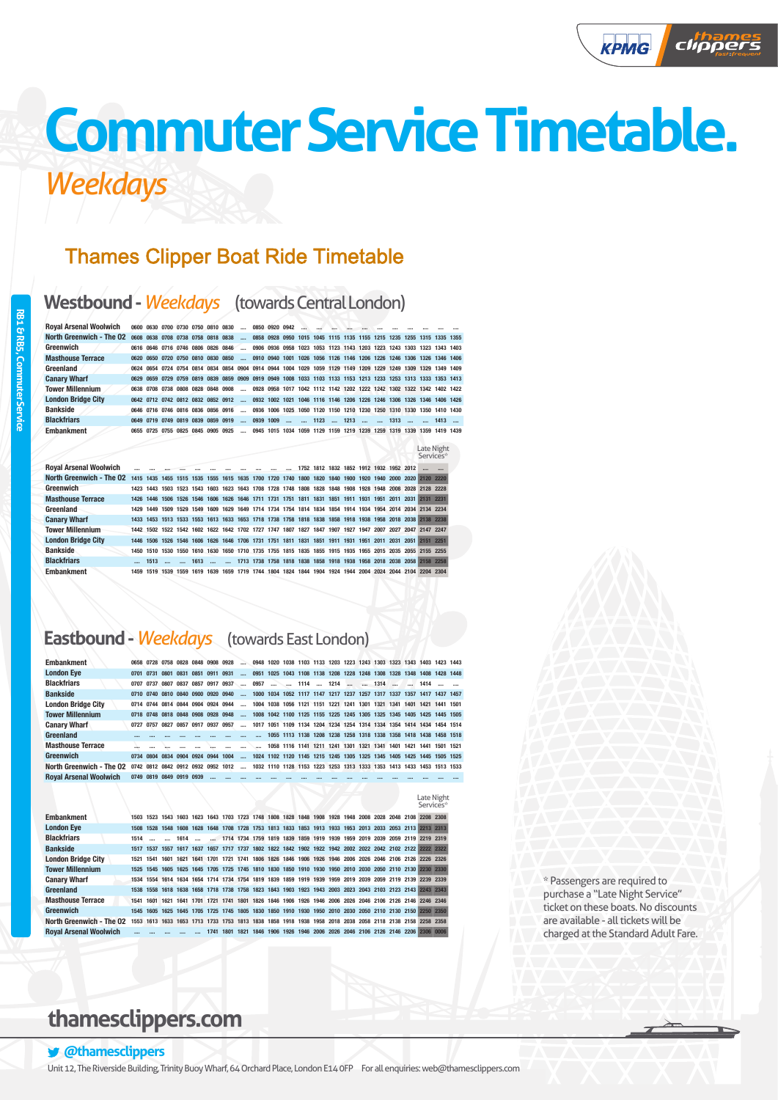# **Thames Clipper Boat Ride Timetable**

### **Westbound -***Weekdays* (towards Central London)

|  |  |  | $\sim$                                                                                                                                               |                                                                                                                                                                                            |              |                |  |            |  |                                                        |                                                                                                                                                                                                                                                                                                                                                                                                                                                                                                                                                                                                                                                                                                                          |
|--|--|--|------------------------------------------------------------------------------------------------------------------------------------------------------|--------------------------------------------------------------------------------------------------------------------------------------------------------------------------------------------|--------------|----------------|--|------------|--|--------------------------------------------------------|--------------------------------------------------------------------------------------------------------------------------------------------------------------------------------------------------------------------------------------------------------------------------------------------------------------------------------------------------------------------------------------------------------------------------------------------------------------------------------------------------------------------------------------------------------------------------------------------------------------------------------------------------------------------------------------------------------------------------|
|  |  |  |                                                                                                                                                      |                                                                                                                                                                                            |              |                |  |            |  |                                                        |                                                                                                                                                                                                                                                                                                                                                                                                                                                                                                                                                                                                                                                                                                                          |
|  |  |  |                                                                                                                                                      |                                                                                                                                                                                            |              |                |  |            |  |                                                        |                                                                                                                                                                                                                                                                                                                                                                                                                                                                                                                                                                                                                                                                                                                          |
|  |  |  |                                                                                                                                                      |                                                                                                                                                                                            |              |                |  |            |  |                                                        |                                                                                                                                                                                                                                                                                                                                                                                                                                                                                                                                                                                                                                                                                                                          |
|  |  |  |                                                                                                                                                      |                                                                                                                                                                                            |              |                |  |            |  |                                                        |                                                                                                                                                                                                                                                                                                                                                                                                                                                                                                                                                                                                                                                                                                                          |
|  |  |  |                                                                                                                                                      |                                                                                                                                                                                            |              |                |  |            |  |                                                        |                                                                                                                                                                                                                                                                                                                                                                                                                                                                                                                                                                                                                                                                                                                          |
|  |  |  |                                                                                                                                                      |                                                                                                                                                                                            |              |                |  |            |  |                                                        |                                                                                                                                                                                                                                                                                                                                                                                                                                                                                                                                                                                                                                                                                                                          |
|  |  |  |                                                                                                                                                      |                                                                                                                                                                                            |              |                |  |            |  |                                                        |                                                                                                                                                                                                                                                                                                                                                                                                                                                                                                                                                                                                                                                                                                                          |
|  |  |  |                                                                                                                                                      |                                                                                                                                                                                            |              |                |  |            |  |                                                        |                                                                                                                                                                                                                                                                                                                                                                                                                                                                                                                                                                                                                                                                                                                          |
|  |  |  |                                                                                                                                                      |                                                                                                                                                                                            |              |                |  |            |  |                                                        |                                                                                                                                                                                                                                                                                                                                                                                                                                                                                                                                                                                                                                                                                                                          |
|  |  |  |                                                                                                                                                      |                                                                                                                                                                                            |              |                |  |            |  |                                                        |                                                                                                                                                                                                                                                                                                                                                                                                                                                                                                                                                                                                                                                                                                                          |
|  |  |  | 0608 0638 0708 0738 0758 0818 0838<br>0616 0646 0716 0746 0806 0826 0846<br>0649 0719 0749 0819 0839 0859 0919<br>0655 0725 0755 0825 0845 0905 0925 | 0600 0630 0700 0730 0750 0810 0830<br>0620 0650 0720 0750 0810 0830 0850<br>0638 0708 0738 0808 0828 0848 0908<br>0642 0712 0742 0812 0832 0852 0912<br>0646 0716 0746 0816 0836 0856 0916 | $$ 0939 1009 | 0850 0920 0942 |  | 1123  1213 |  | 0945 1015 1034 1059 1129 1159 1219 1239 1259 1319 1339 | 0858 0928 0950 1015 1045 1115 1135 1155 1215 1235 1255 1315 1335 1355<br>0906 0936 0958 1023 1053 1123 1143 1203 1223 1243 1303 1323 1343 1403<br>0910 0940 1001 1026 1056 1126 1146 1206 1226 1246 1306 1326 1346 1406<br>0624 0654 0724 0754 0814 0834 0854 0904 0914 0944 1004 1029 1059 1129 1149 1209 1229 1249 1309 1329 1349 1409<br>0629 0659 0729 0759 0819 0839 0859 0909 0919 0949 1008 1033 1103 1133 1153 1213 1233 1253 1313 1333 1353 1413<br>0928 0958 1017 1042 1112 1142 1202 1222 1242 1302 1322 1342 1402 1422<br>0932 1002 1021 1046 1116 1146 1206 1226 1246 1306 1326 1346 1406 1426<br>0936 1006 1025 1050 1120 1150 1210 1230 1250 1310 1330 1350 1410 1430<br>1313   1413<br>1419 1439<br>1359 |

| <b>Roval Arsenal Woolwich</b> | and the contract of the contract of the contract of the contract of the contract of the contract of the contract of |                |                                   |                        |  |  |                                                                                                |  |  |  | 1752 1812 1832 1852 1912 1932 1952 2012                                                                  |           |                                                                                                          |
|-------------------------------|---------------------------------------------------------------------------------------------------------------------|----------------|-----------------------------------|------------------------|--|--|------------------------------------------------------------------------------------------------|--|--|--|----------------------------------------------------------------------------------------------------------|-----------|----------------------------------------------------------------------------------------------------------|
| North Greenwich - The O2      |                                                                                                                     |                |                                   |                        |  |  |                                                                                                |  |  |  |                                                                                                          |           | 1415 1435 1455 1515 1535 1555 1615 1635 1700 1720 1740 1800 1820 1840 1900 1920 1940 2000 2020 2120 2220 |
| Greenwich                     |                                                                                                                     |                |                                   |                        |  |  |                                                                                                |  |  |  | 1423 1443 1503 1523 1543 1603 1623 1643 1708 1728 1748 1808 1828 1848 1908 1928 1948 2008 2028 2128 2228 |           |                                                                                                          |
| <b>Masthouse Terrace</b>      |                                                                                                                     | 1426 1446      |                                   |                        |  |  | 1506 1526 1546 1606 1626 1646 1711 1731 1751 1811 1831 1851 1911 1931 1951 2011 2031           |  |  |  |                                                                                                          | 2131 2231 |                                                                                                          |
| Greenland                     |                                                                                                                     |                |                                   |                        |  |  |                                                                                                |  |  |  | 1429 1449 1509 1529 1549 1609 1629 1649 1714 1734 1754 1814 1834 1854 1914 1934 1954 2014 2034 2134 2234 |           |                                                                                                          |
| <b>Canary Wharf</b>           |                                                                                                                     |                |                                   |                        |  |  |                                                                                                |  |  |  |                                                                                                          |           | 1433 1453 1513 1533 1553 1613 1633 1653 1718 1738 1758 1818 1838 1858 1918 1938 1958 2018 2038 2138 2238 |
| <b>Tower Millennium</b>       |                                                                                                                     |                |                                   |                        |  |  |                                                                                                |  |  |  | 1442 1502 1522 1542 1602 1622 1642 1702 1727 1747 1807 1827 1847 1907 1927 1947 2007 2027 2047 2147 2247 |           |                                                                                                          |
| <b>London Bridge City</b>     |                                                                                                                     |                |                                   |                        |  |  | 1446 1506 1526 1546 1606 1626 1646 1706 1731 1751 1811 1831 1851 1911 1931 1951 2011 2031 2051 |  |  |  |                                                                                                          |           | 2151 2251                                                                                                |
| <b>Bankside</b>               |                                                                                                                     |                |                                   |                        |  |  |                                                                                                |  |  |  | 1450 1510 1530 1550 1610 1630 1650 1710 1735 1755 1815 1835 1855 1915 1935 1955 2015 2035 2055 2155 2255 |           |                                                                                                          |
| <b>Blackfriars</b>            |                                                                                                                     | 1513           | <b>Contract Contract Contract</b> | $\ldots$ 1613 $\ldots$ |  |  |                                                                                                |  |  |  |                                                                                                          |           | 1713 1738 1758 1818 1838 1858 1918 1938 1958 2018 2038 2058 2158 2258                                    |
| <b>Embankment</b>             |                                                                                                                     | 1459 1519 1539 |                                   | 1559 1619 1639         |  |  |                                                                                                |  |  |  | 1659 1719 1744 1804 1824 1844 1904 1924 1944 2004 2024 2044 2104 2204 2304                               |           |                                                                                                          |

# **Eastbound -***Weekdays* (towards East London)

Embankment 1503 1523 1543 1603 1623 1643 1703 1723 1748 1808 1828 1848 1908 1928 1948 2

| <b>Embankment</b>             |           |      | 0658 0728 0758 0828 0848 0908 0928 |  |                                                                                                           |          | 0948 1020 1038 1103 1133 1203 1223 1243 1303 1323 1343 1403 1423 1443 |  |  |  |                                                                  |  |  |  |
|-------------------------------|-----------|------|------------------------------------|--|-----------------------------------------------------------------------------------------------------------|----------|-----------------------------------------------------------------------|--|--|--|------------------------------------------------------------------|--|--|--|
| <b>London Eye</b>             | 0701 0731 | 0801 | 0831 0851 0911 0931                |  |                                                                                                           |          | 0951 1025 1043 1108 1138 1208 1228 1248 1308 1328 1348 1408 1428 1448 |  |  |  |                                                                  |  |  |  |
| <b>Blackfriars</b>            |           |      | 0707 0737 0807 0837 0857 0917 0937 |  |                                                                                                           |          |                                                                       |  |  |  |                                                                  |  |  |  |
| <b>Bankside</b>               |           |      | 0710 0740 0810 0840 0900 0920 0940 |  |                                                                                                           |          | 1000 1034 1052 1117 1147 1217 1237 1257 1317 1337 1357 1417 1437 1457 |  |  |  |                                                                  |  |  |  |
| <b>London Bridge City</b>     |           |      | 0714 0744 0814 0844 0904 0924 0944 |  |                                                                                                           | $\cdots$ | 1004 1038 1056 1121 1151 1221 1241 1301 1321 1341 1401 1421 1441 1501 |  |  |  |                                                                  |  |  |  |
| <b>Tower Millennium</b>       |           |      | 0718 0748 0818 0848 0908 0928 0948 |  |                                                                                                           |          | 1008 1042 1100 1125 1155 1225 1245 1305 1325 1345 1405 1425 1445 1505 |  |  |  |                                                                  |  |  |  |
| <b>Canary Wharf</b>           | 0727 0757 | 0827 | 0857 0917 0937 0957                |  |                                                                                                           | $\cdots$ | 1017 1051 1109 1134 1204 1234 1254 1314 1334 1354 1414 1434 1454 1514 |  |  |  |                                                                  |  |  |  |
| Greenland                     |           |      |                                    |  |                                                                                                           |          |                                                                       |  |  |  | 1055 1113 1138 1208 1238 1258 1318 1338 1358 1418 1438 1458 1518 |  |  |  |
| <b>Masthouse Terrace</b>      |           |      |                                    |  |                                                                                                           |          |                                                                       |  |  |  | 1058 1116 1141 1211 1241 1301 1321 1341 1401 1421 1441 1501 1521 |  |  |  |
| Greenwich                     |           |      | 0734 0804 0834 0904 0924 0944 1004 |  |                                                                                                           |          | 1024 1102 1120 1145 1215 1245 1305 1325 1345 1405 1425 1445 1505 1525 |  |  |  |                                                                  |  |  |  |
| North Greenwich - The O2      |           |      |                                    |  | 0742 0812 0842 0912 0932 0952 1012  1032 1110 1128 1153 1223 1253 1313 1333 1353 1413 1433 1453 1513 1533 |          |                                                                       |  |  |  |                                                                  |  |  |  |
| <b>Roval Arsenal Woolwich</b> |           |      | 0749 0819 0849 0919 0939           |  |                                                                                                           |          |                                                                       |  |  |  |                                                                  |  |  |  |

|  | 008 2028 2048 2108 2208 2308 |  |
|--|------------------------------|--|
|  | 013 2033 2053 2113 2213 2313 |  |
|  | 019 2039 2059 2119 2219 2319 |  |
|  |                              |  |

Late Night Service

Late Night Services\*

| <b>London Eye</b>             |        |  |  |           |  |  |  |  |                                                                                                          |  |  | 1508 1528 1548 1608 1628 1648 1708 1728 1753 1813 1833 1853 1913 1933 1953 2013 2033 2053 2113 2213 2313 |
|-------------------------------|--------|--|--|-----------|--|--|--|--|----------------------------------------------------------------------------------------------------------|--|--|----------------------------------------------------------------------------------------------------------|
| <b>Blackfriars</b>            | $1514$ |  |  |           |  |  |  |  | 1614   1714 1734 1759 1819 1839 1859 1919 1939 1959 2019 2039 2059 2119 2219 2319                        |  |  |                                                                                                          |
| <b>Bankside</b>               |        |  |  |           |  |  |  |  |                                                                                                          |  |  | 1517 1537 1557 1617 1637 1657 1717 1737 1802 1822 1842 1902 1922 1942 2002 2022 2042 2102 2122 2222 2322 |
| <b>London Bridge City</b>     |        |  |  |           |  |  |  |  | 1521 1541 1601 1621 1641 1701 1721 1741 1806 1826 1846 1906 1926 1946 2006 2026 2046 2106 2126 2226 2326 |  |  |                                                                                                          |
| <b>Tower Millennium</b>       |        |  |  |           |  |  |  |  |                                                                                                          |  |  | 1525 1545 1605 1625 1645 1705 1725 1745 1810 1830 1850 1910 1930 1950 2010 2030 2050 2110 2130 2230 2330 |
| <b>Canary Wharf</b>           |        |  |  |           |  |  |  |  | 1534 1554 1614 1634 1654 1714 1734 1754 1819 1839 1859 1919 1939 1959 2019 2039 2059 2119 2139 2239 2339 |  |  |                                                                                                          |
| Greenland                     |        |  |  |           |  |  |  |  |                                                                                                          |  |  | 1538 1558 1618 1638 1658 1718 1738 1758 1823 1843 1903 1923 1943 2003 2023 2043 2103 2123 2143 2243 2343 |
| <b>Masthouse Terrace</b>      |        |  |  |           |  |  |  |  | 1541 1601 1621 1641 1701 1721 1741 1801 1826 1846 1906 1926 1946 2006 2026 2046 2106 2126 2146 2246 2346 |  |  |                                                                                                          |
| Greenwich                     |        |  |  |           |  |  |  |  |                                                                                                          |  |  | 1545 1605 1625 1645 1705 1725 1745 1805 1830 1850 1910 1930 1950 2010 2030 2050 2110 2130 2150 2250 2350 |
| North Greenwich - The O2      |        |  |  |           |  |  |  |  | 1553 1613 1633 1653 1713 1733 1753 1813 1838 1858 1918 1938 1958 2018 2038 2058 2118 2138 2158 2258 2358 |  |  |                                                                                                          |
| <b>Roval Arsenal Woolwich</b> |        |  |  | 1741 1801 |  |  |  |  |                                                                                                          |  |  | 1821 1846 1906 1926 1946 2006 2026 2046 2106 2126 2146 2206 2306 0006                                    |